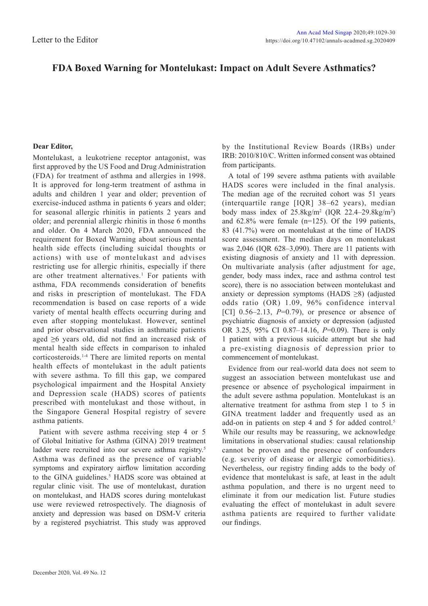## **FDA Boxed Warning for Montelukast: Impact on Adult Severe Asthmatics?**

## **Dear Editor,**

Montelukast, a leukotriene receptor antagonist, was first approved by the US Food and Drug Administration (FDA) for treatment of asthma and allergies in 1998. It is approved for long-term treatment of asthma in adults and children 1 year and older; prevention of exercise-induced asthma in patients 6 years and older; for seasonal allergic rhinitis in patients 2 years and older; and perennial allergic rhinitis in those 6 months and older. On 4 March 2020, FDA announced the requirement for Boxed Warning about serious mental health side effects (including suicidal thoughts or actions) with use of montelukast and advises restricting use for allergic rhinitis, especially if there are other treatment alternatives.<sup>1</sup> For patients with asthma, FDA recommends consideration of benefits and risks in prescription of montelukast. The FDA recommendation is based on case reports of a wide variety of mental health effects occurring during and even after stopping montelukast. However, sentinel and prior observational studies in asthmatic patients aged ≥6 years old, did not find an increased risk of mental health side effects in comparison to inhaled corticosteroids.1-4 There are limited reports on mental health effects of montelukast in the adult patients with severe asthma. To fill this gap, we compared psychological impairment and the Hospital Anxiety and Depression scale (HADS) scores of patients prescribed with montelukast and those without, in the Singapore General Hospital registry of severe asthma patients.

Patient with severe asthma receiving step 4 or 5 of Global Initiative for Asthma (GINA) 2019 treatment ladder were recruited into our severe asthma registry.<sup>5</sup> Asthma was defined as the presence of variable symptoms and expiratory airflow limitation according to the GINA guidelines.<sup>5</sup> HADS score was obtained at regular clinic visit. The use of montelukast, duration on montelukast, and HADS scores during montelukast use were reviewed retrospectively. The diagnosis of anxiety and depression was based on DSM-V criteria by a registered psychiatrist. This study was approved

by the Institutional Review Boards (IRBs) under IRB: 2010/810/C. Written informed consent was obtained from participants.

A total of 199 severe asthma patients with available HADS scores were included in the final analysis. The median age of the recruited cohort was 51 years (interquartile range [IQR] 38–62 years), median body mass index of  $25.8 \text{kg/m}^2$  (IQR  $22.4-29.8 \text{kg/m}^2$ ) and 62.8% were female (n=125). Of the 199 patients, 83 (41.7%) were on montelukast at the time of HADS score assessment. The median days on montelukast was 2,046 (IQR 628–3,090). There are 11 patients with existing diagnosis of anxiety and 11 with depression. On multivariate analysis (after adjustment for age, gender, body mass index, race and asthma control test score), there is no association between montelukast and anxiety or depression symptoms (HADS  $\geq$ 8) (adjusted odds ratio (OR) 1.09, 96% confidence interval [CI]  $0.56-2.13$ ,  $P=0.79$ ), or presence or absence of psychiatric diagnosis of anxiety or depression (adjusted OR 3.25, 95% CI 0.87–14.16, *P*=0.09). There is only 1 patient with a previous suicide attempt but she had a pre-existing diagnosis of depression prior to commencement of montelukast.

Evidence from our real-world data does not seem to suggest an association between montelukast use and presence or absence of psychological impairment in the adult severe asthma population. Montelukast is an alternative treatment for asthma from step 1 to 5 in GINA treatment ladder and frequently used as an add-on in patients on step 4 and 5 for added control.<sup>5</sup> While our results may be reassuring, we acknowledge limitations in observational studies: causal relationship cannot be proven and the presence of confounders (e.g. severity of disease or allergic comorbidities). Nevertheless, our registry finding adds to the body of evidence that montelukast is safe, at least in the adult asthma population, and there is no urgent need to eliminate it from our medication list. Future studies evaluating the effect of montelukast in adult severe asthma patients are required to further validate our findings.